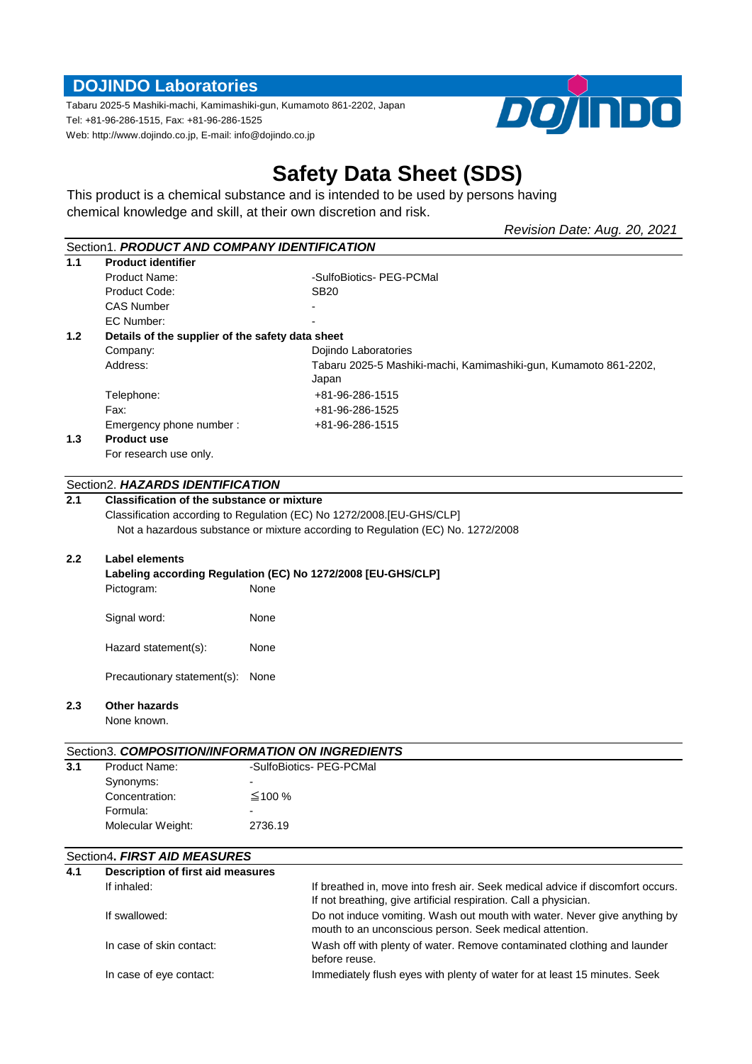# **DOJINDO Laboratories**

Tabaru 2025-5 Mashiki-machi, Kamimashiki-gun, Kumamoto 861-2202, Japan Tel: +81-96-286-1515, Fax: +81-96-286-1525 Web: http://www.dojindo.co.jp, E-mail: info@dojindo.co.jp



# **Safety Data Sheet (SDS)**

This product is a chemical substance and is intended to be used by persons having chemical knowledge and skill, at their own discretion and risk.

*Revision Date: Aug. 20, 2021*

|                  | Section1. PRODUCT AND COMPANY IDENTIFICATION                             |                                                                                 |                                                                                                                                      |  |  |
|------------------|--------------------------------------------------------------------------|---------------------------------------------------------------------------------|--------------------------------------------------------------------------------------------------------------------------------------|--|--|
| 1.1              | <b>Product identifier</b>                                                |                                                                                 |                                                                                                                                      |  |  |
|                  | Product Name:                                                            |                                                                                 | -SulfoBiotics- PEG-PCMal                                                                                                             |  |  |
|                  | Product Code:                                                            |                                                                                 | SB <sub>20</sub>                                                                                                                     |  |  |
|                  | <b>CAS Number</b>                                                        |                                                                                 |                                                                                                                                      |  |  |
|                  | EC Number:                                                               |                                                                                 |                                                                                                                                      |  |  |
| 1.2 <sub>2</sub> | Details of the supplier of the safety data sheet                         |                                                                                 |                                                                                                                                      |  |  |
|                  | Company:                                                                 |                                                                                 | Dojindo Laboratories                                                                                                                 |  |  |
|                  | Address:                                                                 |                                                                                 | Tabaru 2025-5 Mashiki-machi, Kamimashiki-gun, Kumamoto 861-2202,                                                                     |  |  |
|                  |                                                                          |                                                                                 | Japan                                                                                                                                |  |  |
|                  | Telephone:                                                               |                                                                                 | +81-96-286-1515                                                                                                                      |  |  |
|                  | Fax:                                                                     |                                                                                 | +81-96-286-1525                                                                                                                      |  |  |
|                  | Emergency phone number:                                                  |                                                                                 | +81-96-286-1515                                                                                                                      |  |  |
| 1.3              | <b>Product use</b>                                                       |                                                                                 |                                                                                                                                      |  |  |
|                  | For research use only.                                                   |                                                                                 |                                                                                                                                      |  |  |
|                  |                                                                          |                                                                                 |                                                                                                                                      |  |  |
|                  | Section2. HAZARDS IDENTIFICATION                                         |                                                                                 |                                                                                                                                      |  |  |
| 2.1              | <b>Classification of the substance or mixture</b>                        |                                                                                 |                                                                                                                                      |  |  |
|                  |                                                                          |                                                                                 | Classification according to Regulation (EC) No 1272/2008.[EU-GHS/CLP]                                                                |  |  |
|                  |                                                                          | Not a hazardous substance or mixture according to Regulation (EC) No. 1272/2008 |                                                                                                                                      |  |  |
|                  |                                                                          |                                                                                 |                                                                                                                                      |  |  |
| 2.2              | <b>Label elements</b>                                                    |                                                                                 |                                                                                                                                      |  |  |
|                  | Labeling according Regulation (EC) No 1272/2008 [EU-GHS/CLP]             |                                                                                 |                                                                                                                                      |  |  |
|                  | Pictogram:                                                               | None                                                                            |                                                                                                                                      |  |  |
|                  | Signal word:                                                             | None                                                                            |                                                                                                                                      |  |  |
|                  | Hazard statement(s):                                                     | None                                                                            |                                                                                                                                      |  |  |
|                  | Precautionary statement(s):                                              | None                                                                            |                                                                                                                                      |  |  |
| 2.3              | <b>Other hazards</b>                                                     |                                                                                 |                                                                                                                                      |  |  |
|                  | None known.                                                              |                                                                                 |                                                                                                                                      |  |  |
|                  |                                                                          |                                                                                 |                                                                                                                                      |  |  |
|                  | Section3. COMPOSITION/INFORMATION ON INGREDIENTS                         |                                                                                 |                                                                                                                                      |  |  |
| 3.1              | Product Name:                                                            |                                                                                 | -SulfoBiotics- PEG-PCMal                                                                                                             |  |  |
|                  | Synonyms:                                                                |                                                                                 |                                                                                                                                      |  |  |
|                  | Concentration:                                                           | ≰100 %                                                                          |                                                                                                                                      |  |  |
|                  | Formula:                                                                 |                                                                                 |                                                                                                                                      |  |  |
|                  | Molecular Weight:                                                        | 2736.19                                                                         |                                                                                                                                      |  |  |
|                  |                                                                          |                                                                                 |                                                                                                                                      |  |  |
| 4.1              | Section4. FIRST AID MEASURES<br><b>Description of first aid measures</b> |                                                                                 |                                                                                                                                      |  |  |
|                  | If inhaled:                                                              |                                                                                 | If breathed in, move into fresh air. Seek medical advice if discomfort occurs.                                                       |  |  |
|                  |                                                                          |                                                                                 | If not breathing, give artificial respiration. Call a physician.                                                                     |  |  |
|                  | If swallowed:                                                            |                                                                                 | Do not induce vomiting. Wash out mouth with water. Never give anything by<br>mouth to an unconscious person. Seek medical attention. |  |  |
|                  | In case of skin contact:                                                 |                                                                                 | Wash off with plenty of water. Remove contaminated clothing and launder<br>before reuse.                                             |  |  |
|                  | In case of eye contact:                                                  |                                                                                 | Immediately flush eyes with plenty of water for at least 15 minutes. Seek                                                            |  |  |
|                  |                                                                          |                                                                                 |                                                                                                                                      |  |  |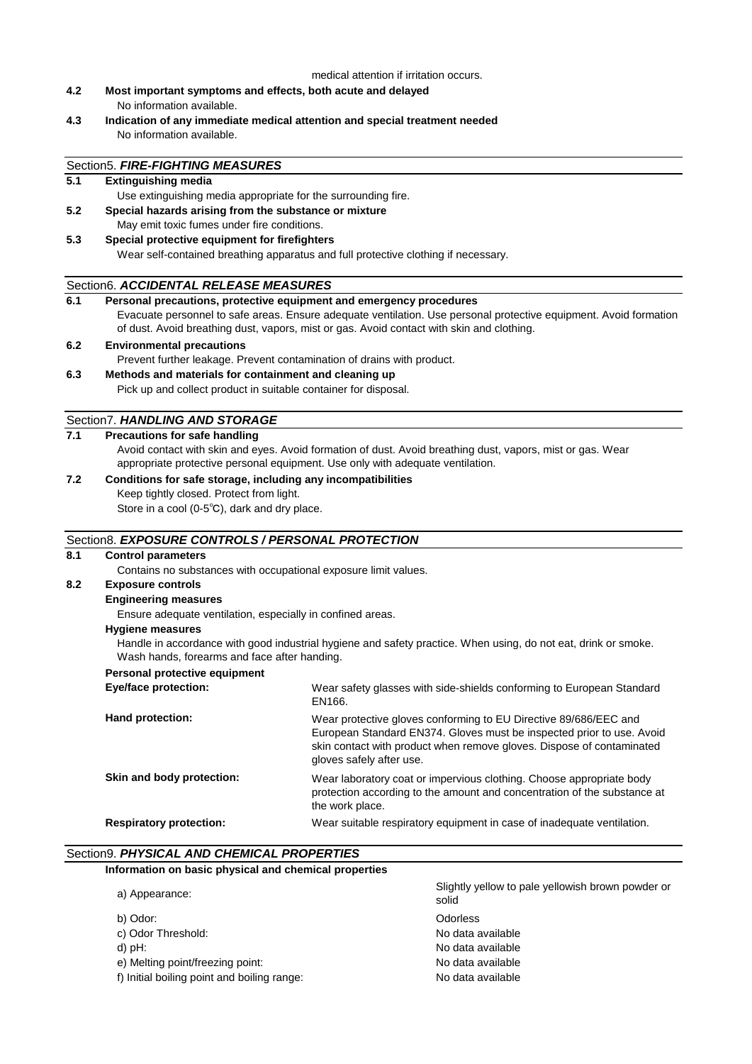## medical attention if irritation occurs.

**4.2 Most important symptoms and effects, both acute and delayed** No information available.

Use extinguishing media appropriate for the surrounding fire.

**5.2 Special hazards arising from the substance or mixture** May emit toxic fumes under fire conditions.

Section5. *FIRE-FIGHTING MEASURES*

**5.1 Extinguishing media**

**4.3 Indication of any immediate medical attention and special treatment needed** No information available.

| 5.3                                          | Special protective equipment for firefighters                                                                                                                                                                  |                                                                                                                                                                                                                                                |  |  |
|----------------------------------------------|----------------------------------------------------------------------------------------------------------------------------------------------------------------------------------------------------------------|------------------------------------------------------------------------------------------------------------------------------------------------------------------------------------------------------------------------------------------------|--|--|
|                                              | Wear self-contained breathing apparatus and full protective clothing if necessary.                                                                                                                             |                                                                                                                                                                                                                                                |  |  |
|                                              | Section6. ACCIDENTAL RELEASE MEASURES                                                                                                                                                                          |                                                                                                                                                                                                                                                |  |  |
| 6.1                                          | Personal precautions, protective equipment and emergency procedures                                                                                                                                            |                                                                                                                                                                                                                                                |  |  |
|                                              | Evacuate personnel to safe areas. Ensure adequate ventilation. Use personal protective equipment. Avoid formation<br>of dust. Avoid breathing dust, vapors, mist or gas. Avoid contact with skin and clothing. |                                                                                                                                                                                                                                                |  |  |
| 6.2                                          | <b>Environmental precautions</b>                                                                                                                                                                               |                                                                                                                                                                                                                                                |  |  |
|                                              | Prevent further leakage. Prevent contamination of drains with product.                                                                                                                                         |                                                                                                                                                                                                                                                |  |  |
| 6.3                                          | Methods and materials for containment and cleaning up                                                                                                                                                          |                                                                                                                                                                                                                                                |  |  |
|                                              | Pick up and collect product in suitable container for disposal.                                                                                                                                                |                                                                                                                                                                                                                                                |  |  |
|                                              | Section7. HANDLING AND STORAGE                                                                                                                                                                                 |                                                                                                                                                                                                                                                |  |  |
| 7.1                                          | <b>Precautions for safe handling</b>                                                                                                                                                                           |                                                                                                                                                                                                                                                |  |  |
|                                              | Avoid contact with skin and eyes. Avoid formation of dust. Avoid breathing dust, vapors, mist or gas. Wear<br>appropriate protective personal equipment. Use only with adequate ventilation.                   |                                                                                                                                                                                                                                                |  |  |
| 7.2                                          | Conditions for safe storage, including any incompatibilities                                                                                                                                                   |                                                                                                                                                                                                                                                |  |  |
|                                              | Keep tightly closed. Protect from light.                                                                                                                                                                       |                                                                                                                                                                                                                                                |  |  |
|                                              | Store in a cool (0-5°C), dark and dry place.                                                                                                                                                                   |                                                                                                                                                                                                                                                |  |  |
|                                              | Section8. EXPOSURE CONTROLS / PERSONAL PROTECTION                                                                                                                                                              |                                                                                                                                                                                                                                                |  |  |
| 8.1                                          | <b>Control parameters</b>                                                                                                                                                                                      |                                                                                                                                                                                                                                                |  |  |
|                                              | Contains no substances with occupational exposure limit values.                                                                                                                                                |                                                                                                                                                                                                                                                |  |  |
| 8.2                                          | <b>Exposure controls</b>                                                                                                                                                                                       |                                                                                                                                                                                                                                                |  |  |
|                                              | <b>Engineering measures</b>                                                                                                                                                                                    |                                                                                                                                                                                                                                                |  |  |
|                                              | Ensure adequate ventilation, especially in confined areas.                                                                                                                                                     |                                                                                                                                                                                                                                                |  |  |
|                                              | <b>Hygiene measures</b>                                                                                                                                                                                        |                                                                                                                                                                                                                                                |  |  |
| Wash hands, forearms and face after handing. |                                                                                                                                                                                                                | Handle in accordance with good industrial hygiene and safety practice. When using, do not eat, drink or smoke.                                                                                                                                 |  |  |
|                                              | <b>Personal protective equipment</b>                                                                                                                                                                           |                                                                                                                                                                                                                                                |  |  |
|                                              | Eye/face protection:                                                                                                                                                                                           | Wear safety glasses with side-shields conforming to European Standard<br>EN166.                                                                                                                                                                |  |  |
|                                              | Hand protection:                                                                                                                                                                                               | Wear protective gloves conforming to EU Directive 89/686/EEC and<br>European Standard EN374. Gloves must be inspected prior to use. Avoid<br>skin contact with product when remove gloves. Dispose of contaminated<br>gloves safely after use. |  |  |
|                                              | Skin and body protection:                                                                                                                                                                                      | Wear laboratory coat or impervious clothing. Choose appropriate body<br>protection according to the amount and concentration of the substance at<br>the work place.                                                                            |  |  |
|                                              | <b>Respiratory protection:</b><br>Wear suitable respiratory equipment in case of inadequate ventilation.                                                                                                       |                                                                                                                                                                                                                                                |  |  |

## Section9. *PHYSICAL AND CHEMICAL PROPERTIES* **Information on basic physical and chemical properties**

| a) Appearance:                              | Slightly yellow to pale yellowish brown powder or<br>solid |
|---------------------------------------------|------------------------------------------------------------|
| b) Odor:                                    | Odorless                                                   |
| c) Odor Threshold:                          | No data available                                          |
| d) pH:                                      | No data available                                          |
| e) Melting point/freezing point:            | No data available                                          |
| f) Initial boiling point and boiling range: | No data available                                          |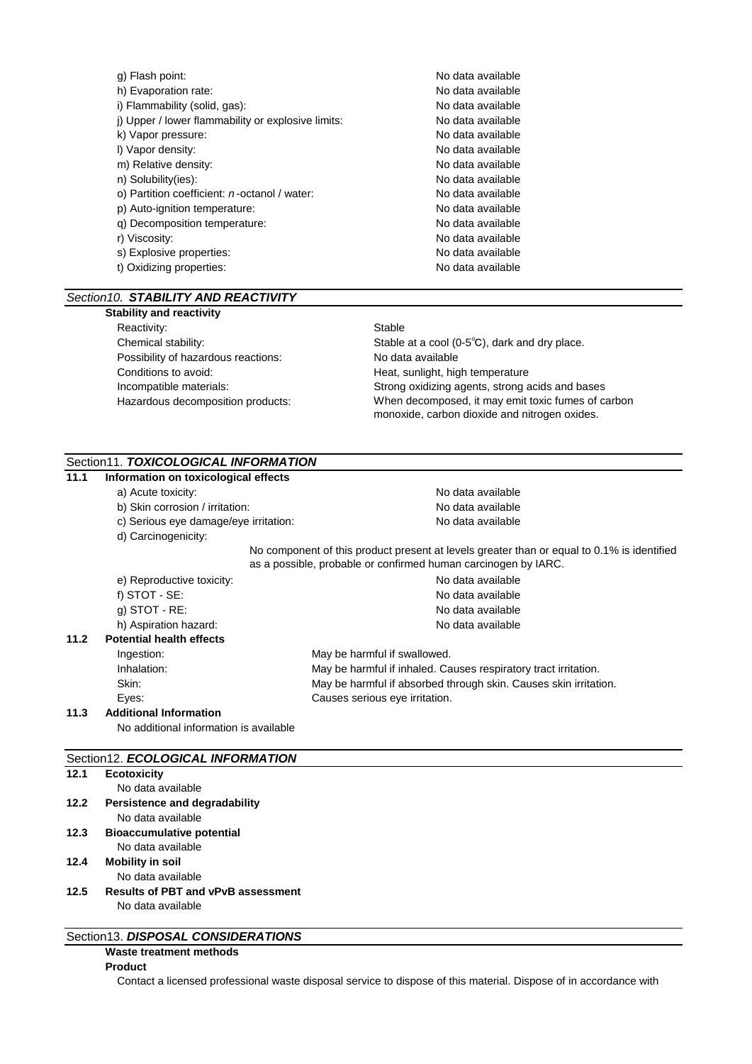| g) Flash point:                                    | No data available |
|----------------------------------------------------|-------------------|
| h) Evaporation rate:                               | No data available |
| i) Flammability (solid, gas):                      | No data available |
| i) Upper / lower flammability or explosive limits: | No data available |
| k) Vapor pressure:                                 | No data available |
| I) Vapor density:                                  | No data available |
| m) Relative density:                               | No data available |
| n) Solubility(ies):                                | No data available |
| o) Partition coefficient: $n$ -octanol / water:    | No data available |
| p) Auto-ignition temperature:                      | No data available |
| q) Decomposition temperature:                      | No data available |
| r) Viscosity:                                      | No data available |
| s) Explosive properties:                           | No data available |
| t) Oxidizing properties:                           | No data available |
|                                                    |                   |

# *Section10. STABILITY AND REACTIVITY*

# **Stability and reactivity**

Reactivity: Stable Possibility of hazardous reactions: No data available Conditions to avoid: The Conditions of avoid: The Heat, sunlight, high temperature Hazardous decomposition products:

Chemical stability: Stable at a cool (0-5℃), dark and dry place. Incompatible materials: Strong oxidizing agents, strong acids and bases When decomposed, it may emit toxic fumes of carbon monoxide, carbon dioxide and nitrogen oxides.

# Section11. *TOXICOLOGICAL INFORMATION*

| 11.1 | Information on toxicological effects   |                                                                                                                                                              |                                                                  |  |  |
|------|----------------------------------------|--------------------------------------------------------------------------------------------------------------------------------------------------------------|------------------------------------------------------------------|--|--|
|      | a) Acute toxicity:                     |                                                                                                                                                              | No data available                                                |  |  |
|      | b) Skin corrosion / irritation:        |                                                                                                                                                              | No data available                                                |  |  |
|      | c) Serious eye damage/eye irritation:  |                                                                                                                                                              | No data available                                                |  |  |
|      | d) Carcinogenicity:                    |                                                                                                                                                              |                                                                  |  |  |
|      |                                        | No component of this product present at levels greater than or equal to 0.1% is identified<br>as a possible, probable or confirmed human carcinogen by IARC. |                                                                  |  |  |
|      | e) Reproductive toxicity:              |                                                                                                                                                              | No data available                                                |  |  |
|      | f) $STOT - SE$ :                       |                                                                                                                                                              | No data available                                                |  |  |
|      | $q)$ STOT - RE:                        |                                                                                                                                                              | No data available                                                |  |  |
|      | h) Aspiration hazard:                  |                                                                                                                                                              | No data available                                                |  |  |
| 11.2 | <b>Potential health effects</b>        |                                                                                                                                                              |                                                                  |  |  |
|      | Ingestion:                             |                                                                                                                                                              | May be harmful if swallowed.                                     |  |  |
|      | Inhalation:                            |                                                                                                                                                              | May be harmful if inhaled. Causes respiratory tract irritation.  |  |  |
|      | Skin:                                  |                                                                                                                                                              | May be harmful if absorbed through skin. Causes skin irritation. |  |  |
|      | Eyes:                                  |                                                                                                                                                              | Causes serious eye irritation.                                   |  |  |
| 11.3 | <b>Additional Information</b>          |                                                                                                                                                              |                                                                  |  |  |
|      | No additional information is available |                                                                                                                                                              |                                                                  |  |  |

# Section12. *ECOLOGICAL INFORMATION*

| 12.1 | <b>Ecotoxicity</b>                        |
|------|-------------------------------------------|
|      | No data available                         |
| 12.2 | Persistence and degradability             |
|      | No data available                         |
| 12.3 | <b>Bioaccumulative potential</b>          |
|      | No data available                         |
| 12.4 | <b>Mobility in soil</b>                   |
|      | No data available                         |
| 12.5 | <b>Results of PBT and vPvB assessment</b> |
|      | No data available                         |
|      |                                           |
|      | Continuity DICDOCAL CONCIDED ATIONS       |

# Section13. *DISPOSAL CONSIDERATIONS*

# **Waste treatment methods**

# **Product**

Contact a licensed professional waste disposal service to dispose of this material. Dispose of in accordance with